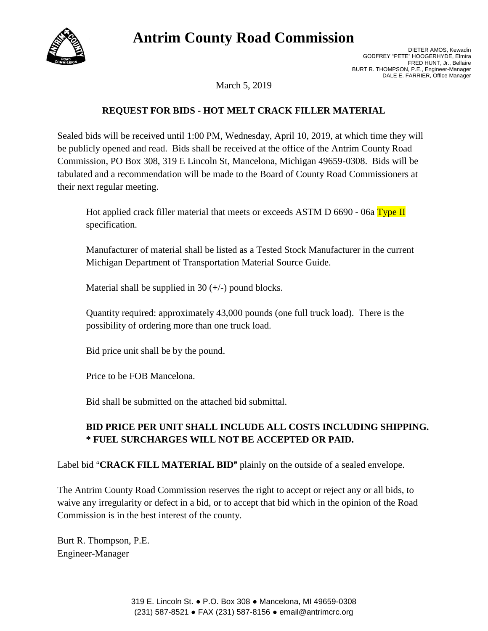# **Antrim County Road Commission**



March 5, 2019

### **REQUEST FOR BIDS - HOT MELT CRACK FILLER MATERIAL**

Sealed bids will be received until 1:00 PM, Wednesday, April 10, 2019, at which time they will be publicly opened and read. Bids shall be received at the office of the Antrim County Road Commission, PO Box 308, 319 E Lincoln St, Mancelona, Michigan 49659-0308. Bids will be tabulated and a recommendation will be made to the Board of County Road Commissioners at their next regular meeting.

Hot applied crack filler material that meets or exceeds ASTM D  $6690 - 06a$  Type II specification.

Manufacturer of material shall be listed as a Tested Stock Manufacturer in the current Michigan Department of Transportation Material Source Guide.

Material shall be supplied in 30  $(+/-)$  pound blocks.

Quantity required: approximately 43,000 pounds (one full truck load). There is the possibility of ordering more than one truck load.

Bid price unit shall be by the pound.

Price to be FOB Mancelona.

Bid shall be submitted on the attached bid submittal.

## **BID PRICE PER UNIT SHALL INCLUDE ALL COSTS INCLUDING SHIPPING. \* FUEL SURCHARGES WILL NOT BE ACCEPTED OR PAID.**

Label bid "**CRACK FILL MATERIAL BID**" plainly on the outside of a sealed envelope.

The Antrim County Road Commission reserves the right to accept or reject any or all bids, to waive any irregularity or defect in a bid, or to accept that bid which in the opinion of the Road Commission is in the best interest of the county.

Burt R. Thompson, P.E. Engineer-Manager